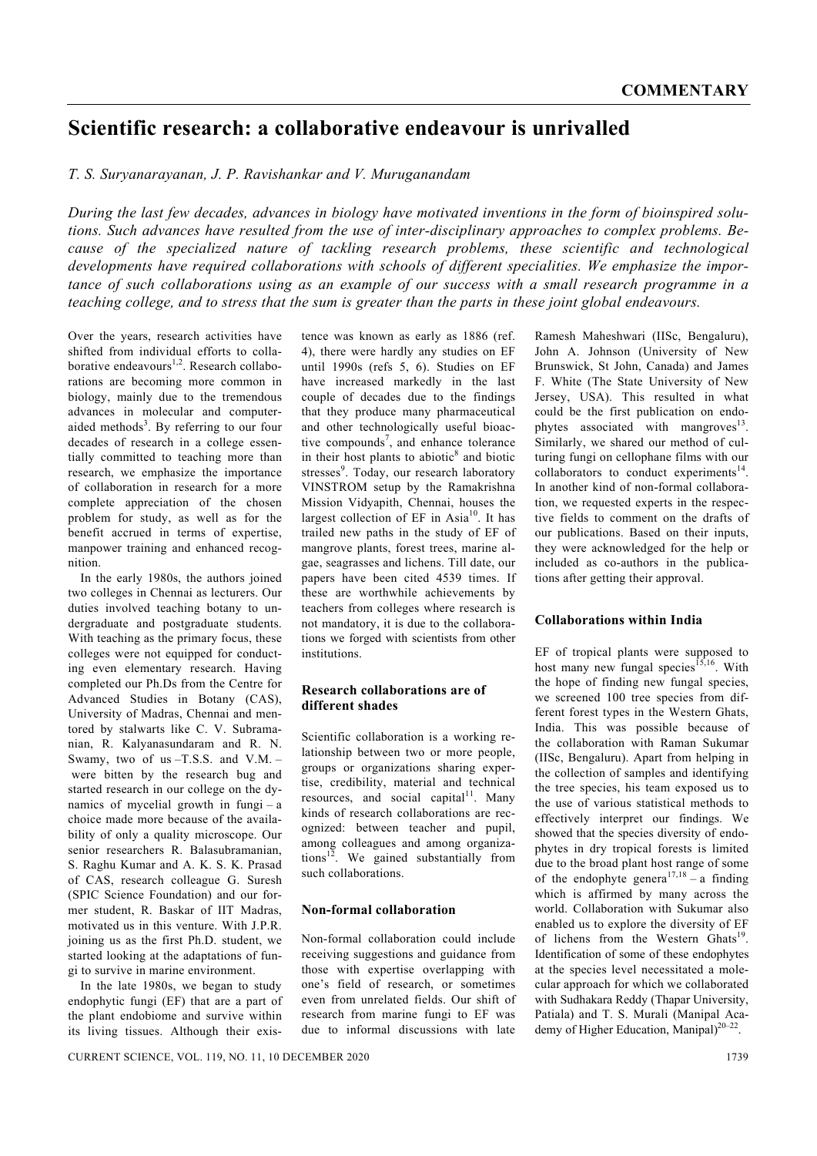# **Scientific research: a collaborative endeavour is unrivalled**

*T. S. Suryanarayanan, J. P. Ravishankar and V. Muruganandam* 

*During the last few decades, advances in biology have motivated inventions in the form of bioinspired solutions. Such advances have resulted from the use of inter-disciplinary approaches to complex problems. Because of the specialized nature of tackling research problems, these scientific and technological developments have required collaborations with schools of different specialities. We emphasize the importance of such collaborations using as an example of our success with a small research programme in a teaching college, and to stress that the sum is greater than the parts in these joint global endeavours.* 

Over the years, research activities have shifted from individual efforts to collaborative endeavours $^{1,2}$ . Research collaborations are becoming more common in biology, mainly due to the tremendous advances in molecular and computeraided methods $3$ . By referring to our four decades of research in a college essentially committed to teaching more than research, we emphasize the importance of collaboration in research for a more complete appreciation of the chosen problem for study, as well as for the benefit accrued in terms of expertise, manpower training and enhanced recognition.

 In the early 1980s, the authors joined two colleges in Chennai as lecturers. Our duties involved teaching botany to undergraduate and postgraduate students. With teaching as the primary focus, these colleges were not equipped for conducting even elementary research. Having completed our Ph.Ds from the Centre for Advanced Studies in Botany (CAS), University of Madras, Chennai and mentored by stalwarts like C. V. Subramanian, R. Kalyanasundaram and R. N. Swamy, two of us $-T.S.S.$  and  $V.M.$  – were bitten by the research bug and started research in our college on the dynamics of mycelial growth in fungi – a choice made more because of the availability of only a quality microscope. Our senior researchers R. Balasubramanian, S. Raghu Kumar and A. K. S. K. Prasad of CAS, research colleague G. Suresh (SPIC Science Foundation) and our former student, R. Baskar of IIT Madras, motivated us in this venture. With J.P.R. joining us as the first Ph.D. student, we started looking at the adaptations of fungi to survive in marine environment.

 In the late 1980s, we began to study endophytic fungi (EF) that are a part of the plant endobiome and survive within its living tissues. Although their existence was known as early as 1886 (ref. 4), there were hardly any studies on EF until 1990s (refs 5, 6). Studies on EF have increased markedly in the last couple of decades due to the findings that they produce many pharmaceutical and other technologically useful bioactive compounds<sup>7</sup>, and enhance tolerance in their host plants to abiotic<sup>8</sup> and biotic stresses<sup>9</sup>. Today, our research laboratory VINSTROM setup by the Ramakrishna Mission Vidyapith, Chennai, houses the largest collection of EF in Asia<sup>10</sup>. It has trailed new paths in the study of EF of mangrove plants, forest trees, marine algae, seagrasses and lichens. Till date, our papers have been cited 4539 times. If these are worthwhile achievements by teachers from colleges where research is not mandatory, it is due to the collaborations we forged with scientists from other institutions.

## **Research collaborations are of different shades**

Scientific collaboration is a working relationship between two or more people, groups or organizations sharing expertise, credibility, material and technical resources, and social capital $11$ . Many kinds of research collaborations are recognized: between teacher and pupil, among colleagues and among organizations $12$ . We gained substantially from such collaborations.

# **Non-formal collaboration**

Non-formal collaboration could include receiving suggestions and guidance from those with expertise overlapping with one's field of research, or sometimes even from unrelated fields. Our shift of research from marine fungi to EF was due to informal discussions with late

Ramesh Maheshwari (IISc, Bengaluru), John A. Johnson (University of New Brunswick, St John, Canada) and James F. White (The State University of New Jersey, USA). This resulted in what could be the first publication on endophytes associated with mangroves<sup>13</sup> Similarly, we shared our method of culturing fungi on cellophane films with our collaborators to conduct experiments $14$ . In another kind of non-formal collaboration, we requested experts in the respective fields to comment on the drafts of our publications. Based on their inputs, they were acknowledged for the help or included as co-authors in the publications after getting their approval.

#### **Collaborations within India**

EF of tropical plants were supposed to host many new fungal species<sup>15,16</sup>. With the hope of finding new fungal species, we screened 100 tree species from different forest types in the Western Ghats, India. This was possible because of the collaboration with Raman Sukumar (IISc, Bengaluru). Apart from helping in the collection of samples and identifying the tree species, his team exposed us to the use of various statistical methods to effectively interpret our findings. We showed that the species diversity of endophytes in dry tropical forests is limited due to the broad plant host range of some of the endophyte genera<sup>17,18</sup> – a finding which is affirmed by many across the world. Collaboration with Sukumar also enabled us to explore the diversity of EF of lichens from the Western Ghats<sup>19</sup>. Identification of some of these endophytes at the species level necessitated a molecular approach for which we collaborated with Sudhakara Reddy (Thapar University, Patiala) and T. S. Murali (Manipal Academy of Higher Education. Manipal $12^{0-22}$ .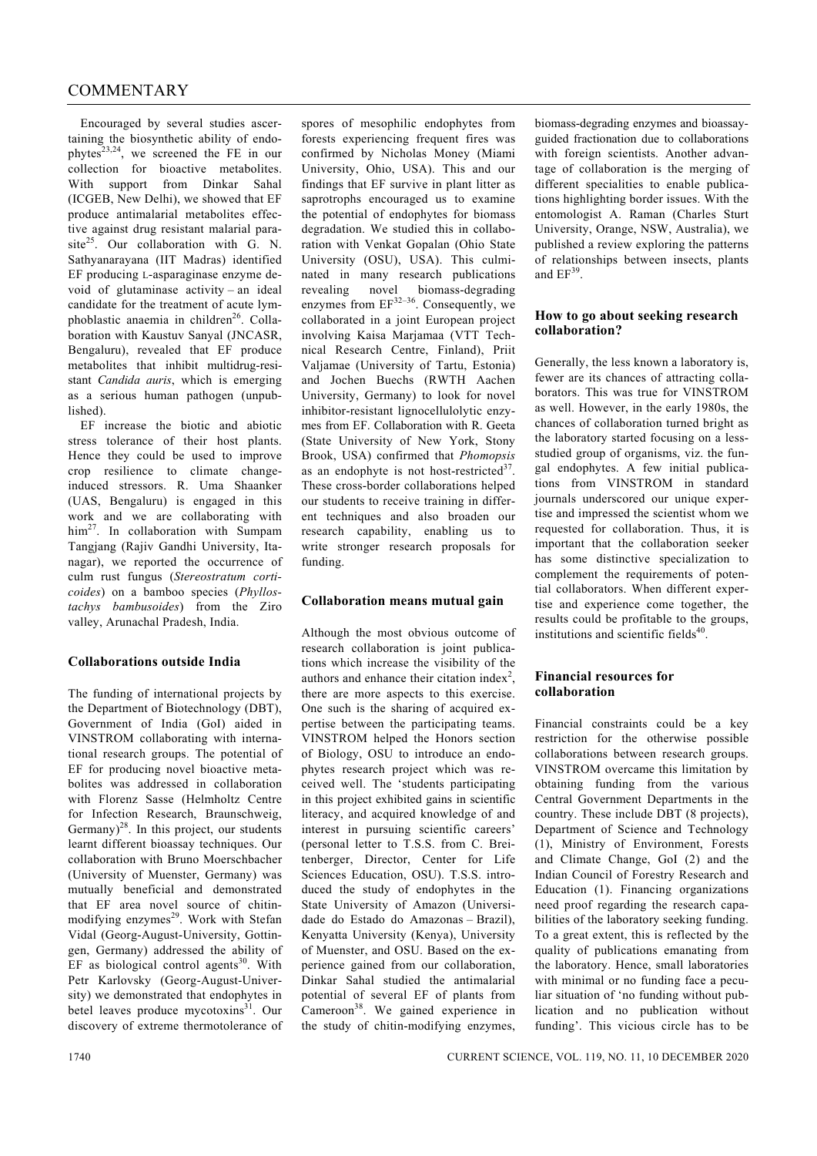Encouraged by several studies ascertaining the biosynthetic ability of endophytes<sup>23,24</sup>, we screened the FE in our collection for bioactive metabolites. With support from Dinkar Sahal (ICGEB, New Delhi), we showed that EF produce antimalarial metabolites effective against drug resistant malarial parasite<sup>25</sup>. Our collaboration with G. N. Sathyanarayana (IIT Madras) identified EF producing L-asparaginase enzyme devoid of glutaminase activity – an ideal candidate for the treatment of acute lymphoblastic anaemia in children<sup>26</sup>. Collaboration with Kaustuv Sanyal (JNCASR, Bengaluru), revealed that EF produce metabolites that inhibit multidrug-resistant *Candida auris*, which is emerging as a serious human pathogen (unpublished).

 EF increase the biotic and abiotic stress tolerance of their host plants. Hence they could be used to improve crop resilience to climate changeinduced stressors. R. Uma Shaanker (UAS, Bengaluru) is engaged in this work and we are collaborating with him<sup>27</sup>. In collaboration with Sumpam Tangjang (Rajiv Gandhi University, Itanagar), we reported the occurrence of culm rust fungus (*Stereostratum corticoides*) on a bamboo species (*Phyllostachys bambusoides*) from the Ziro valley, Arunachal Pradesh, India.

# **Collaborations outside India**

The funding of international projects by the Department of Biotechnology (DBT), Government of India (GoI) aided in VINSTROM collaborating with international research groups. The potential of EF for producing novel bioactive metabolites was addressed in collaboration with Florenz Sasse (Helmholtz Centre for Infection Research, Braunschweig, Germany) $^{28}$ . In this project, our students learnt different bioassay techniques. Our collaboration with Bruno Moerschbacher (University of Muenster, Germany) was mutually beneficial and demonstrated that EF area novel source of chitinmodifying enzymes<sup>29</sup>. Work with Stefan Vidal (Georg-August-University, Gottingen, Germany) addressed the ability of EF as biological control agents $30$ . With Petr Karlovsky (Georg-August-University) we demonstrated that endophytes in betel leaves produce mycotoxins<sup>31</sup>. Our discovery of extreme thermotolerance of

spores of mesophilic endophytes from forests experiencing frequent fires was confirmed by Nicholas Money (Miami University, Ohio, USA). This and our findings that EF survive in plant litter as saprotrophs encouraged us to examine the potential of endophytes for biomass degradation. We studied this in collaboration with Venkat Gopalan (Ohio State University (OSU), USA). This culminated in many research publications revealing novel biomass-degrading enzymes from  $EF^{32-36}$ . Consequently, we collaborated in a joint European project involving Kaisa Marjamaa (VTT Technical Research Centre, Finland), Priit Valjamae (University of Tartu, Estonia) and Jochen Buechs (RWTH Aachen University, Germany) to look for novel inhibitor-resistant lignocellulolytic enzymes from EF. Collaboration with R. Geeta (State University of New York, Stony Brook, USA) confirmed that *Phomopsis* as an endophyte is not host-restricted $37$ . These cross-border collaborations helped our students to receive training in different techniques and also broaden our research capability, enabling us to write stronger research proposals for funding.

# **Collaboration means mutual gain**

Although the most obvious outcome of research collaboration is joint publications which increase the visibility of the authors and enhance their citation index<sup>2</sup>, there are more aspects to this exercise. One such is the sharing of acquired expertise between the participating teams. VINSTROM helped the Honors section of Biology, OSU to introduce an endophytes research project which was received well. The 'students participating in this project exhibited gains in scientific literacy, and acquired knowledge of and interest in pursuing scientific careers' (personal letter to T.S.S. from C. Breitenberger, Director, Center for Life Sciences Education, OSU). T.S.S. introduced the study of endophytes in the State University of Amazon (Universidade do Estado do Amazonas – Brazil), Kenyatta University (Kenya), University of Muenster, and OSU. Based on the experience gained from our collaboration, Dinkar Sahal studied the antimalarial potential of several EF of plants from Cameroon<sup>38</sup>. We gained experience in the study of chitin-modifying enzymes,

biomass-degrading enzymes and bioassayguided fractionation due to collaborations with foreign scientists. Another advantage of collaboration is the merging of different specialities to enable publications highlighting border issues. With the entomologist A. Raman (Charles Sturt University, Orange, NSW, Australia), we published a review exploring the patterns of relationships between insects, plants and  $EF^{39}$ 

## **How to go about seeking research collaboration?**

Generally, the less known a laboratory is, fewer are its chances of attracting collaborators. This was true for VINSTROM as well. However, in the early 1980s, the chances of collaboration turned bright as the laboratory started focusing on a lessstudied group of organisms, viz. the fungal endophytes. A few initial publications from VINSTROM in standard journals underscored our unique expertise and impressed the scientist whom we requested for collaboration. Thus, it is important that the collaboration seeker has some distinctive specialization to complement the requirements of potential collaborators. When different expertise and experience come together, the results could be profitable to the groups, institutions and scientific fields<sup>40</sup>.

## **Financial resources for collaboration**

Financial constraints could be a key restriction for the otherwise possible collaborations between research groups. VINSTROM overcame this limitation by obtaining funding from the various Central Government Departments in the country. These include DBT (8 projects), Department of Science and Technology (1), Ministry of Environment, Forests and Climate Change, GoI (2) and the Indian Council of Forestry Research and Education (1). Financing organizations need proof regarding the research capabilities of the laboratory seeking funding. To a great extent, this is reflected by the quality of publications emanating from the laboratory. Hence, small laboratories with minimal or no funding face a peculiar situation of 'no funding without publication and no publication without funding'. This vicious circle has to be